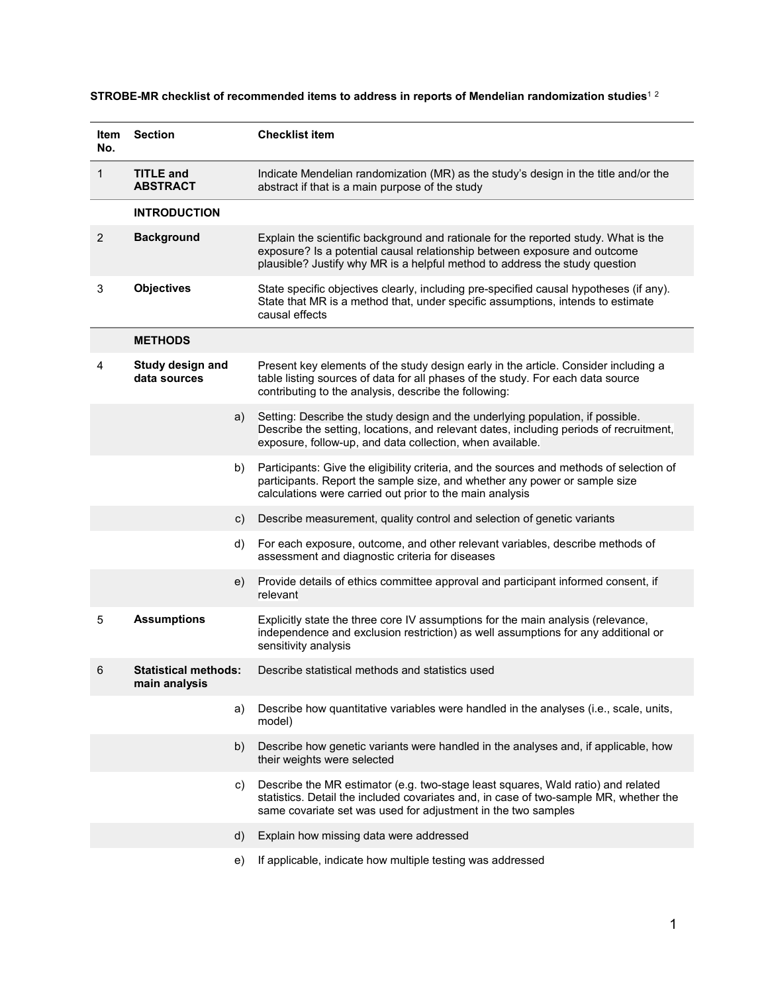## **STROBE-MR checklist of recommended items to address in reports of Mendelian randomization studies**<sup>1</sup> <sup>2</sup>

| ltem<br>No.    | <b>Section</b>                               | <b>Checklist item</b>                                                                                                                                                                                                                           |
|----------------|----------------------------------------------|-------------------------------------------------------------------------------------------------------------------------------------------------------------------------------------------------------------------------------------------------|
| $\mathbf{1}$   | <b>TITLE and</b><br><b>ABSTRACT</b>          | Indicate Mendelian randomization (MR) as the study's design in the title and/or the<br>abstract if that is a main purpose of the study                                                                                                          |
|                | <b>INTRODUCTION</b>                          |                                                                                                                                                                                                                                                 |
| $\overline{c}$ | <b>Background</b>                            | Explain the scientific background and rationale for the reported study. What is the<br>exposure? Is a potential causal relationship between exposure and outcome<br>plausible? Justify why MR is a helpful method to address the study question |
| 3              | <b>Objectives</b>                            | State specific objectives clearly, including pre-specified causal hypotheses (if any).<br>State that MR is a method that, under specific assumptions, intends to estimate<br>causal effects                                                     |
|                | <b>METHODS</b>                               |                                                                                                                                                                                                                                                 |
| 4              | Study design and<br>data sources             | Present key elements of the study design early in the article. Consider including a<br>table listing sources of data for all phases of the study. For each data source<br>contributing to the analysis, describe the following:                 |
|                | a)                                           | Setting: Describe the study design and the underlying population, if possible.<br>Describe the setting, locations, and relevant dates, including periods of recruitment,<br>exposure, follow-up, and data collection, when available.           |
|                | b)                                           | Participants: Give the eligibility criteria, and the sources and methods of selection of<br>participants. Report the sample size, and whether any power or sample size<br>calculations were carried out prior to the main analysis              |
|                | c)                                           | Describe measurement, quality control and selection of genetic variants                                                                                                                                                                         |
|                | d)                                           | For each exposure, outcome, and other relevant variables, describe methods of<br>assessment and diagnostic criteria for diseases                                                                                                                |
|                | e)                                           | Provide details of ethics committee approval and participant informed consent, if<br>relevant                                                                                                                                                   |
| 5              | <b>Assumptions</b>                           | Explicitly state the three core IV assumptions for the main analysis (relevance,<br>independence and exclusion restriction) as well assumptions for any additional or<br>sensitivity analysis                                                   |
| 6              | <b>Statistical methods:</b><br>main analysis | Describe statistical methods and statistics used                                                                                                                                                                                                |
|                | a)                                           | Describe how quantitative variables were handled in the analyses (i.e., scale, units,<br>model)                                                                                                                                                 |
|                | b)                                           | Describe how genetic variants were handled in the analyses and, if applicable, how<br>their weights were selected                                                                                                                               |
|                | C)                                           | Describe the MR estimator (e.g. two-stage least squares, Wald ratio) and related<br>statistics. Detail the included covariates and, in case of two-sample MR, whether the<br>same covariate set was used for adjustment in the two samples      |
|                | d)                                           | Explain how missing data were addressed                                                                                                                                                                                                         |
|                | e)                                           | If applicable, indicate how multiple testing was addressed                                                                                                                                                                                      |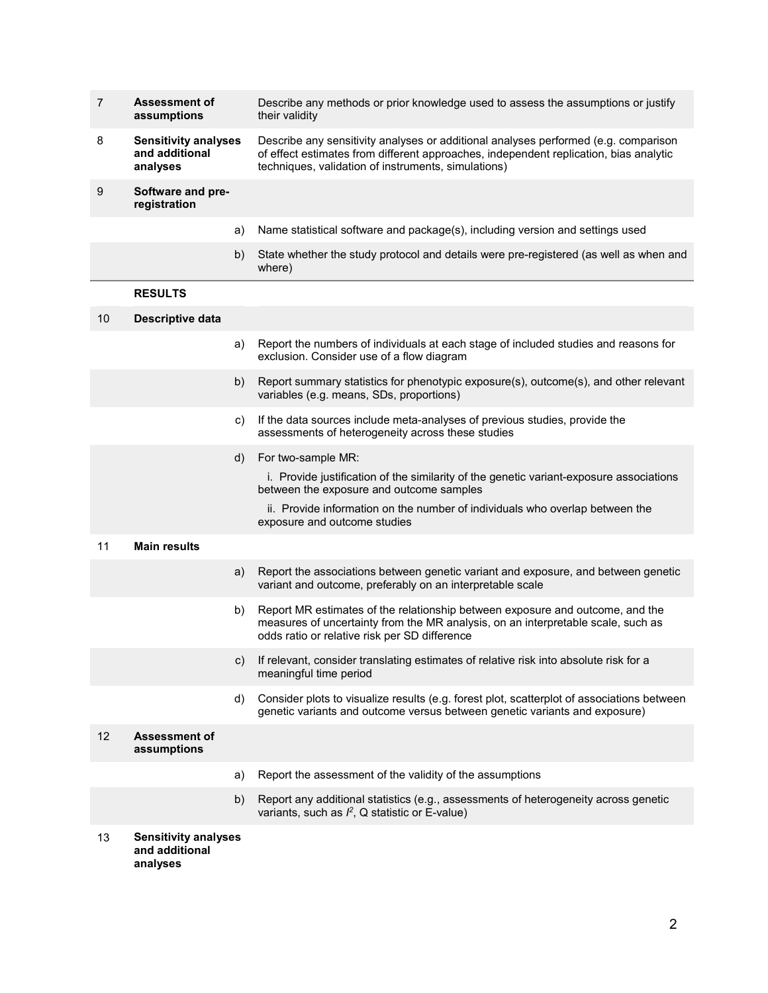| 7  | <b>Assessment of</b><br>assumptions                       |    | Describe any methods or prior knowledge used to assess the assumptions or justify<br>their validity                                                                                                                                                                       |
|----|-----------------------------------------------------------|----|---------------------------------------------------------------------------------------------------------------------------------------------------------------------------------------------------------------------------------------------------------------------------|
| 8  | <b>Sensitivity analyses</b><br>and additional<br>analyses |    | Describe any sensitivity analyses or additional analyses performed (e.g. comparison<br>of effect estimates from different approaches, independent replication, bias analytic<br>techniques, validation of instruments, simulations)                                       |
| 9  | Software and pre-<br>registration                         |    |                                                                                                                                                                                                                                                                           |
|    |                                                           | a) | Name statistical software and package(s), including version and settings used                                                                                                                                                                                             |
|    |                                                           | b) | State whether the study protocol and details were pre-registered (as well as when and<br>where)                                                                                                                                                                           |
|    | <b>RESULTS</b>                                            |    |                                                                                                                                                                                                                                                                           |
| 10 | Descriptive data                                          |    |                                                                                                                                                                                                                                                                           |
|    |                                                           | a) | Report the numbers of individuals at each stage of included studies and reasons for<br>exclusion. Consider use of a flow diagram                                                                                                                                          |
|    |                                                           | b) | Report summary statistics for phenotypic exposure(s), outcome(s), and other relevant<br>variables (e.g. means, SDs, proportions)                                                                                                                                          |
|    |                                                           | c) | If the data sources include meta-analyses of previous studies, provide the<br>assessments of heterogeneity across these studies                                                                                                                                           |
|    |                                                           | d) | For two-sample MR:<br>i. Provide justification of the similarity of the genetic variant-exposure associations<br>between the exposure and outcome samples<br>ii. Provide information on the number of individuals who overlap between the<br>exposure and outcome studies |
| 11 | <b>Main results</b>                                       |    |                                                                                                                                                                                                                                                                           |
|    |                                                           | a) | Report the associations between genetic variant and exposure, and between genetic<br>variant and outcome, preferably on an interpretable scale                                                                                                                            |
|    |                                                           | b) | Report MR estimates of the relationship between exposure and outcome, and the<br>measures of uncertainty from the MR analysis, on an interpretable scale, such as<br>odds ratio or relative risk per SD difference                                                        |
|    |                                                           | C) | If relevant, consider translating estimates of relative risk into absolute risk for a<br>meaningful time period                                                                                                                                                           |
|    |                                                           | d) | Consider plots to visualize results (e.g. forest plot, scatterplot of associations between<br>genetic variants and outcome versus between genetic variants and exposure)                                                                                                  |
| 12 | <b>Assessment of</b><br>assumptions                       |    |                                                                                                                                                                                                                                                                           |
|    |                                                           | a) | Report the assessment of the validity of the assumptions                                                                                                                                                                                                                  |
|    |                                                           | b) | Report any additional statistics (e.g., assessments of heterogeneity across genetic<br>variants, such as $l^2$ , Q statistic or E-value)                                                                                                                                  |
| 13 | <b>Sensitivity analyses</b><br>and additional<br>analyses |    |                                                                                                                                                                                                                                                                           |